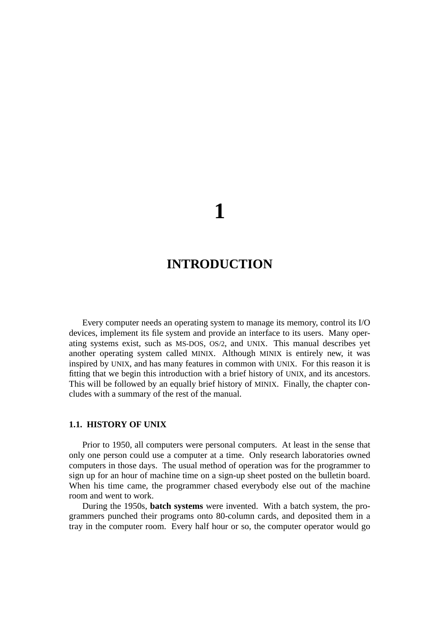# **1**

## **INTRODUCTION**

Every computer needs an operating system to manage its memory, control its I/O devices, implement its file system and provide an interface to its users. Many operating systems exist, such as MS-DOS, OS/2, and UNIX. This manual describes yet another operating system called MINIX. Although MINIX is entirely new, it was inspired by UNIX, and has many features in common with UNIX. For this reason it is fitting that we begin this introduction with a brief history of UNIX, and its ancestors. This will be followed by an equally brief history of MINIX. Finally, the chapter concludes with a summary of the rest of the manual.

### **1.1. HISTORY OF UNIX**

Prior to 1950, all computers were personal computers. At least in the sense that only one person could use a computer at a time. Only research laboratories owned computers in those days. The usual method of operation was for the programmer to sign up for an hour of machine time on a sign-up sheet posted on the bulletin board. When his time came, the programmer chased everybody else out of the machine room and went to work.

During the 1950s, **batch systems** were invented. With a batch system, the programmers punched their programs onto 80-column cards, and deposited them in a tray in the computer room. Every half hour or so, the computer operator would go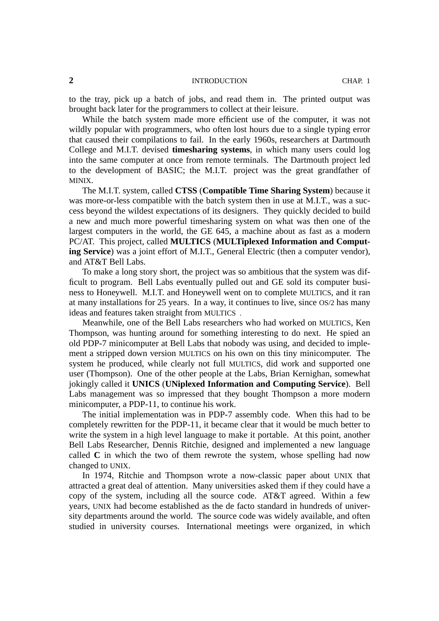#### **2** INTRODUCTION CHAP. 1

to the tray, pick up a batch of jobs, and read them in. The printed output was brought back later for the programmers to collect at their leisure.

While the batch system made more efficient use of the computer, it was not wildly popular with programmers, who often lost hours due to a single typing error that caused their compilations to fail. In the early 1960s, researchers at Dartmouth College and M.I.T. devised **timesharing systems**, in which many users could log into the same computer at once from remote terminals. The Dartmouth project led to the development of BASIC; the M.I.T. project was the great grandfather of MINIX.

The M.I.T. system, called **CTSS** (**Compatible Time Sharing System**) because it was more-or-less compatible with the batch system then in use at M.I.T., was a success beyond the wildest expectations of its designers. They quickly decided to build a new and much more powerful timesharing system on what was then one of the largest computers in the world, the GE 645, a machine about as fast as a modern PC/AT. This project, called **MULTICS** (**MULTiplexed Information and Computing Service**) was a joint effort of M.I.T., General Electric (then a computer vendor), and AT&T Bell Labs.

To make a long story short, the project was so ambitious that the system was difficult to program. Bell Labs eventually pulled out and GE sold its computer business to Honeywell. M.I.T. and Honeywell went on to complete MULTICS, and it ran at many installations for 25 years. In a way, it continues to live, since OS/2 has many ideas and features taken straight from MULTICS .

Meanwhile, one of the Bell Labs researchers who had worked on MULTICS, Ken Thompson, was hunting around for something interesting to do next. He spied an old PDP-7 minicomputer at Bell Labs that nobody was using, and decided to implement a stripped down version MULTICS on his own on this tiny minicomputer. The system he produced, while clearly not full MULTICS, did work and supported one user (Thompson). One of the other people at the Labs, Brian Kernighan, somewhat jokingly called it **UNICS** (**UNiplexed Information and Computing Service**). Bell Labs management was so impressed that they bought Thompson a more modern minicomputer, a PDP-11, to continue his work.

The initial implementation was in PDP-7 assembly code. When this had to be completely rewritten for the PDP-11, it became clear that it would be much better to write the system in a high level language to make it portable. At this point, another Bell Labs Researcher, Dennis Ritchie, designed and implemented a new language called **C** in which the two of them rewrote the system, whose spelling had now changed to UNIX.

In 1974, Ritchie and Thompson wrote a now-classic paper about UNIX that attracted a great deal of attention. Many universities asked them if they could have a copy of the system, including all the source code. AT&T agreed. Within a few years, UNIX had become established as the de facto standard in hundreds of university departments around the world. The source code was widely available, and often studied in university courses. International meetings were organized, in which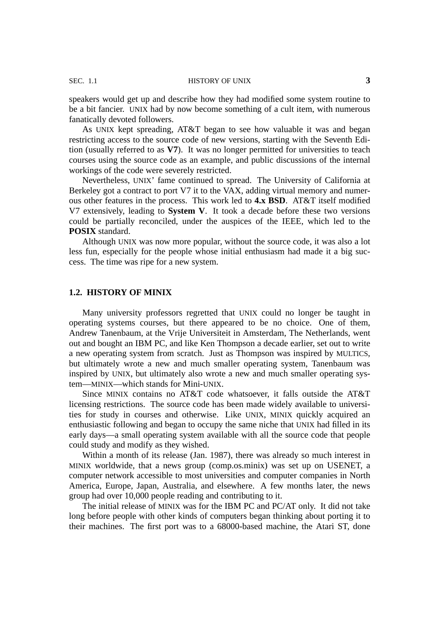speakers would get up and describe how they had modified some system routine to be a bit fancier. UNIX had by now become something of a cult item, with numerous fanatically devoted followers.

As UNIX kept spreading, AT&T began to see how valuable it was and began restricting access to the source code of new versions, starting with the Seventh Edition (usually referred to as **V7**). It was no longer permitted for universities to teach courses using the source code as an example, and public discussions of the internal workings of the code were severely restricted.

Nevertheless, UNIX' fame continued to spread. The University of California at Berkeley got a contract to port V7 it to the VAX, adding virtual memory and numerous other features in the process. This work led to **4.x BSD**. AT&T itself modified V7 extensively, leading to **System V**. It took a decade before these two versions could be partially reconciled, under the auspices of the IEEE, which led to the **POSIX** standard.

Although UNIX was now more popular, without the source code, it was also a lot less fun, especially for the people whose initial enthusiasm had made it a big success. The time was ripe for a new system.

#### **1.2. HISTORY OF MINIX**

Many university professors regretted that UNIX could no longer be taught in operating systems courses, but there appeared to be no choice. One of them, Andrew Tanenbaum, at the Vrije Universiteit in Amsterdam, The Netherlands, went out and bought an IBM PC, and like Ken Thompson a decade earlier, set out to write a new operating system from scratch. Just as Thompson was inspired by MULTICS, but ultimately wrote a new and much smaller operating system, Tanenbaum was inspired by UNIX, but ultimately also wrote a new and much smaller operating system—MINIX—which stands for Mini-UNIX.

Since MINIX contains no AT&T code whatsoever, it falls outside the AT&T licensing restrictions. The source code has been made widely available to universities for study in courses and otherwise. Like UNIX, MINIX quickly acquired an enthusiastic following and began to occupy the same niche that UNIX had filled in its early days—a small operating system available with all the source code that people could study and modify as they wished.

Within a month of its release (Jan. 1987), there was already so much interest in MINIX worldwide, that a news group (comp.os.minix) was set up on USENET, a computer network accessible to most universities and computer companies in North America, Europe, Japan, Australia, and elsewhere. A few months later, the news group had over 10,000 people reading and contributing to it.

The initial release of MINIX was for the IBM PC and PC/AT only. It did not take long before people with other kinds of computers began thinking about porting it to their machines. The first port was to a 68000-based machine, the Atari ST, done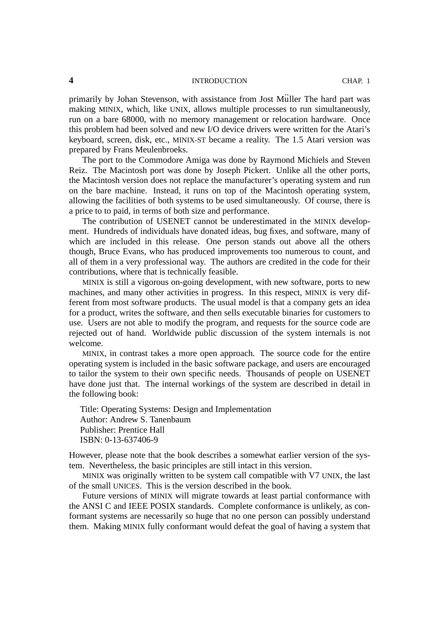#### **4** INTRODUCTION CHAP. 1

primarily by Johan Stevenson, with assistance from Jost Mu .. ller The hard part was making MINIX, which, like UNIX, allows multiple processes to run simultaneously, run on a bare 68000, with no memory management or relocation hardware. Once this problem had been solved and new I/O device drivers were written for the Atari's keyboard, screen, disk, etc., MINIX-ST became a reality. The 1.5 Atari version was prepared by Frans Meulenbroeks.

The port to the Commodore Amiga was done by Raymond Michiels and Steven Reiz. The Macintosh port was done by Joseph Pickert. Unlike all the other ports, the Macintosh version does not replace the manufacturer's operating system and run on the bare machine. Instead, it runs on top of the Macintosh operating system, allowing the facilities of both systems to be used simultaneously. Of course, there is a price to to paid, in terms of both size and performance.

The contribution of USENET cannot be underestimated in the MINIX development. Hundreds of individuals have donated ideas, bug fixes, and software, many of which are included in this release. One person stands out above all the others though, Bruce Evans, who has produced improvements too numerous to count, and all of them in a very professional way. The authors are credited in the code for their contributions, where that is technically feasible.

MINIX is still a vigorous on-going development, with new software, ports to new machines, and many other activities in progress. In this respect, MINIX is very different from most software products. The usual model is that a company gets an idea for a product, writes the software, and then sells executable binaries for customers to use. Users are not able to modify the program, and requests for the source code are rejected out of hand. Worldwide public discussion of the system internals is not welcome.

MINIX, in contrast takes a more open approach. The source code for the entire operating system is included in the basic software package, and users are encouraged to tailor the system to their own specific needs. Thousands of people on USENET have done just that. The internal workings of the system are described in detail in the following book:

Title: Operating Systems: Design and Implementation Author: Andrew S. Tanenbaum Publisher: Prentice Hall ISBN: 0-13-637406-9

However, please note that the book describes a somewhat earlier version of the system. Nevertheless, the basic principles are still intact in this version.

MINIX was originally written to be system call compatible with V7 UNIX, the last of the small UNICES. This is the version described in the book.

Future versions of MINIX will migrate towards at least partial conformance with the ANSI C and IEEE POSIX standards. Complete conformance is unlikely, as conformant systems are necessarily so huge that no one person can possibly understand them. Making MINIX fully conformant would defeat the goal of having a system that